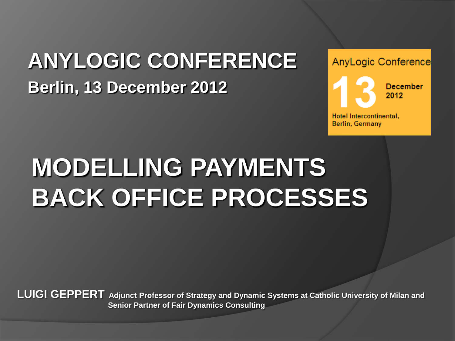# **ANYLOGIC CONFERENCE Berlin, 13 December 2012**



# **MODELLING PAYMENTS BACK OFFICE PROCESSES**

**LUIGI GEPPERT Adjunct Professor of Strategy and Dynamic Systems at Catholic University of Milan and Senior Partner of Fair Dynamics Consulting**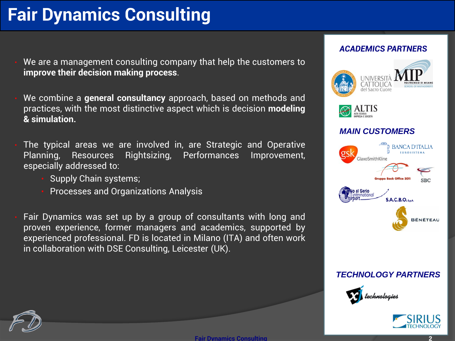# **Fair Dynamics Consulting**

- We are a management consulting company that help the customers to **improve their decision making process**.
- We combine a **general consultancy** approach, based on methods and practices, with the most distinctive aspect which is decision **modeling & simulation.**
- The typical areas we are involved in, are Strategic and Operative Planning, Resources Rightsizing, Performances Improvement, especially addressed to:
	- Supply Chain systems;
	- Processes and Organizations Analysis
- Fair Dynamics was set up by a group of consultants with long and proven experience, former managers and academics, supported by experienced professional. FD is located in Milano (ITA) and often work in collaboration with DSE Consulting, Leicester (UK).

#### *ACADEMICS PARTNERS*





#### *MAIN CUSTOMERS*



#### *TECHNOLOGY PARTNERS*





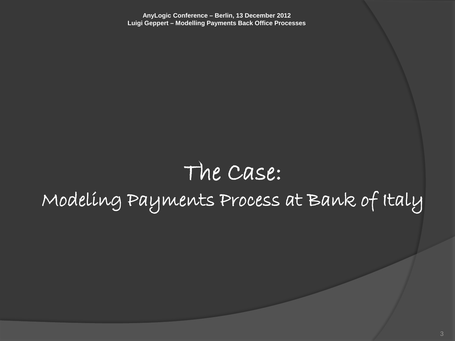# The Case: Modeling Payments Process at Bank of Italy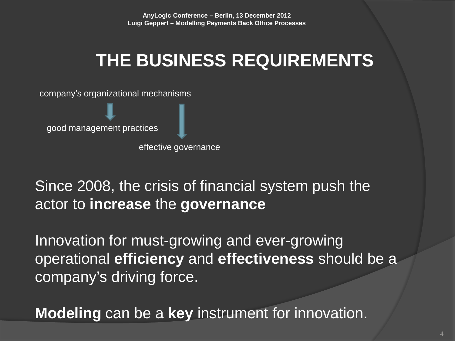# **THE BUSINESS REQUIREMENTS**

company's organizational mechanisms

good management practices

effective governance

#### Since 2008, the crisis of financial system push the actor to **increase** the **governance**

Innovation for must-growing and ever-growing operational **efficiency** and **effectiveness** should be a company's driving force.

**Modeling** can be a **key** instrument for innovation.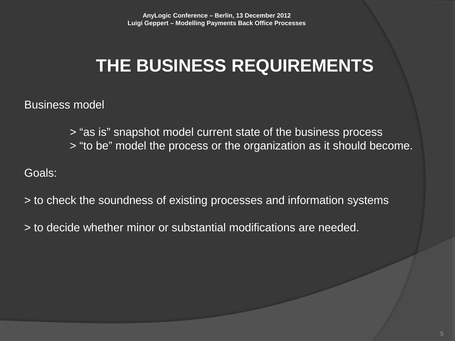# **THE BUSINESS REQUIREMENTS**

Business model

> "as is" snapshot model current state of the business process > "to be" model the process or the organization as it should become.

Goals:

- > to check the soundness of existing processes and information systems
- > to decide whether minor or substantial modifications are needed.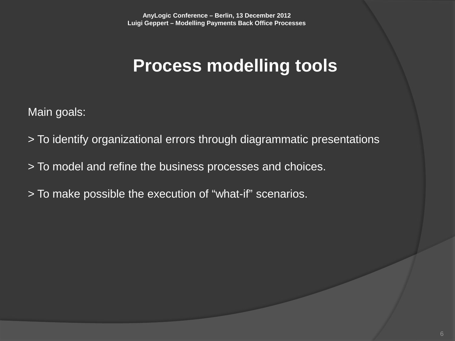#### **Process modelling tools**

Main goals:

- > To identify organizational errors through diagrammatic presentations
- > To model and refine the business processes and choices.
- > To make possible the execution of "what-if" scenarios.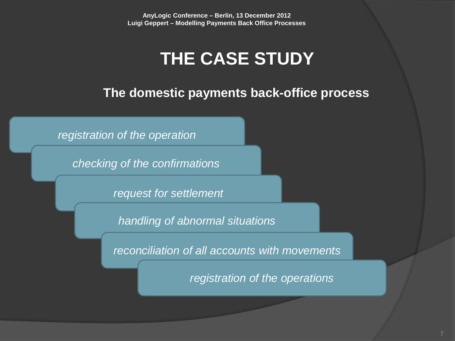### **THE CASE STUDY**

**The domestic payments back-office process**

*registration of the operation*

*checking of the confirmations*

*request for settlement*

*handling of abnormal situations*

*reconciliation of all accounts with movements*

*registration of the operations*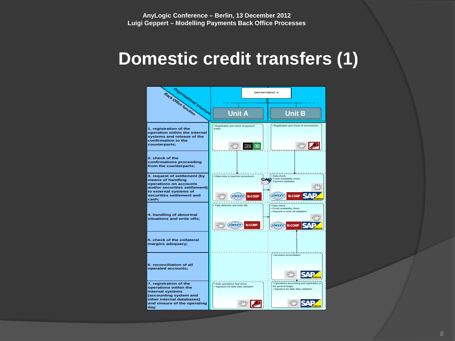#### **Domestic credit transfers (1)**

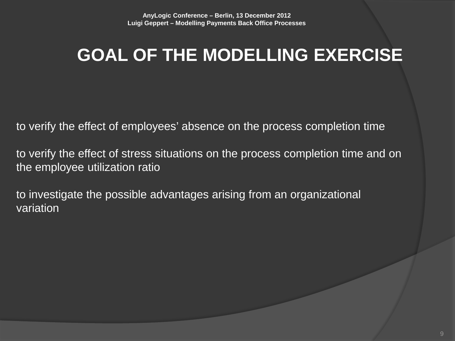# **GOAL OF THE MODELLING EXERCISE**

to verify the effect of employees' absence on the process completion time

to verify the effect of stress situations on the process completion time and on the employee utilization ratio

to investigate the possible advantages arising from an organizational variation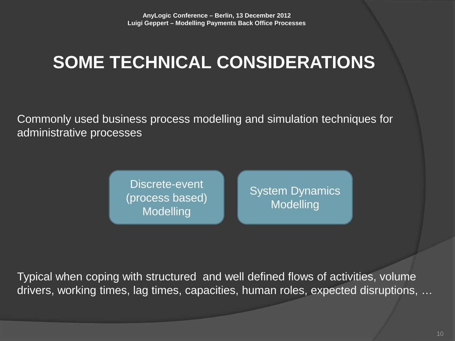# **SOME TECHNICAL CONSIDERATIONS**

Commonly used business process modelling and simulation techniques for administrative processes

> Discrete-event (process based) Modelling

System Dynamics Modelling

Typical when coping with structured and well defined flows of activities, volume drivers, working times, lag times, capacities, human roles, expected disruptions, …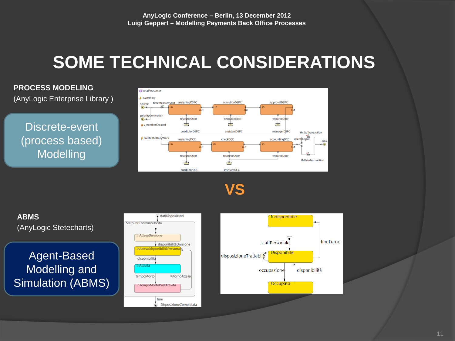# **SOME TECHNICAL CONSIDERATIONS**

#### **PROCESS MODELING**

(AnyLogic Enterprise Library )

Discrete-event (process based) Modelling



**VS**



DisposizioneCompletata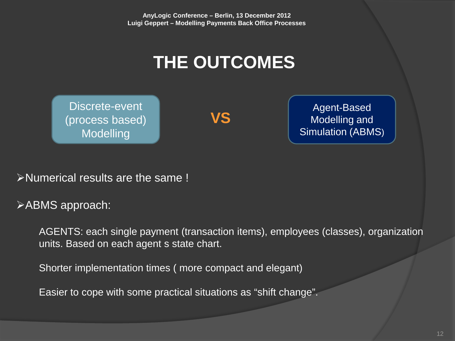# **THE OUTCOMES**

Discrete-event (process based) Modelling

**VS**

Agent-Based Modelling and Simulation (ABMS)

Numerical results are the same !

ABMS approach:

AGENTS: each single payment (transaction items), employees (classes), organization units. Based on each agent s state chart.

Shorter implementation times ( more compact and elegant)

Easier to cope with some practical situations as "shift change".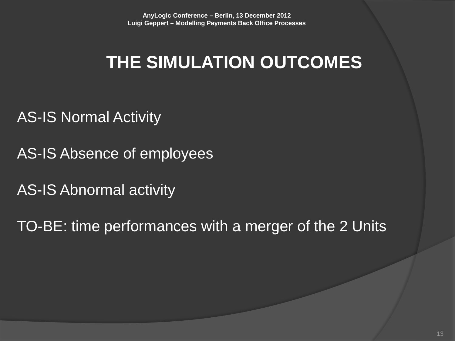## **THE SIMULATION OUTCOMES**

AS-IS Normal Activity

AS-IS Absence of employees

AS-IS Abnormal activity

TO-BE: time performances with a merger of the 2 Units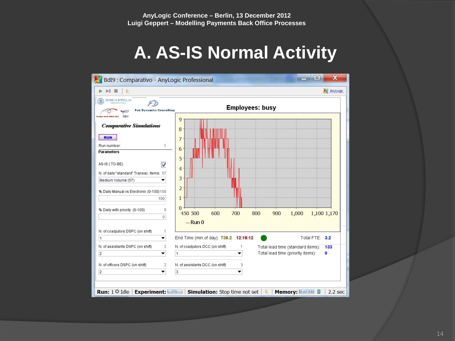### **A. AS-IS Normal Activity**

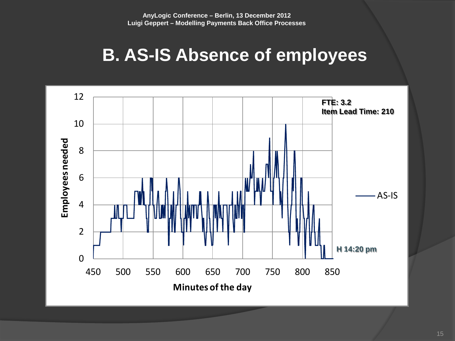### **B. AS-IS Absence of employees**

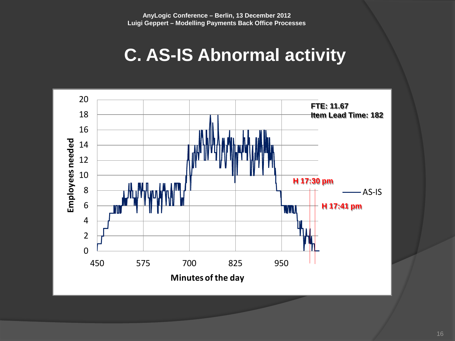### **C. AS-IS Abnormal activity**

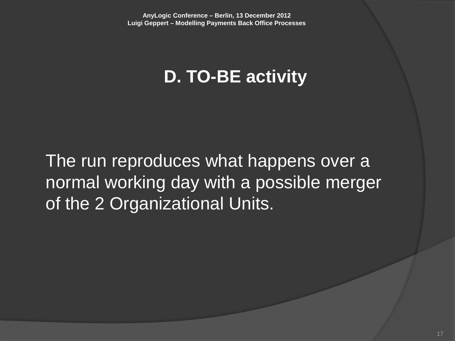### **D. TO-BE activity**

The run reproduces what happens over a normal working day with a possible merger of the 2 Organizational Units.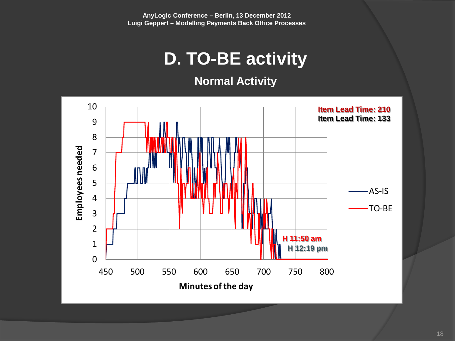### **D. TO-BE activity**

**Normal Activity**

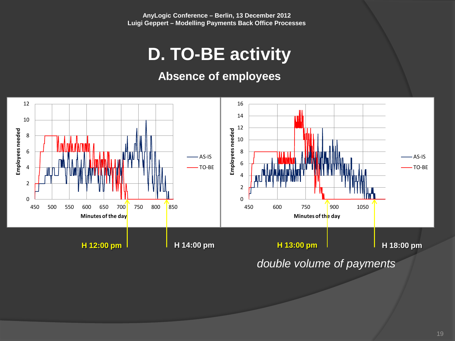### **D. TO-BE activity**

#### **Absence of employees**



19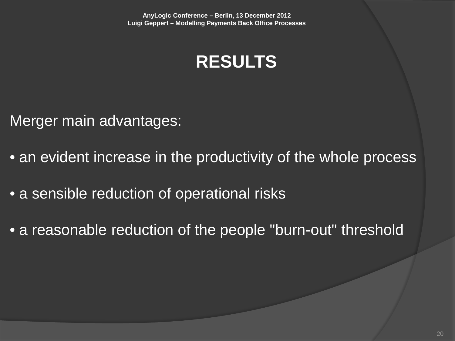

Merger main advantages:

- an evident increase in the productivity of the whole process
- a sensible reduction of operational risks
- a reasonable reduction of the people "burn-out" threshold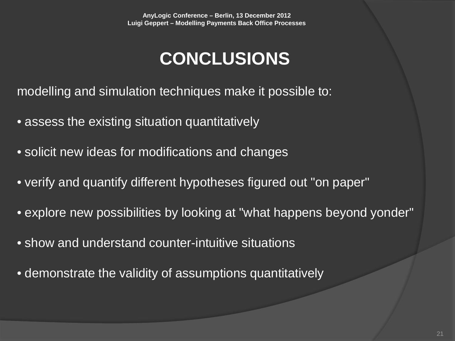## **CONCLUSIONS**

modelling and simulation techniques make it possible to:

- assess the existing situation quantitatively
- solicit new ideas for modifications and changes
- verify and quantify different hypotheses figured out "on paper"
- explore new possibilities by looking at "what happens beyond yonder"
- show and understand counter-intuitive situations
- demonstrate the validity of assumptions quantitatively